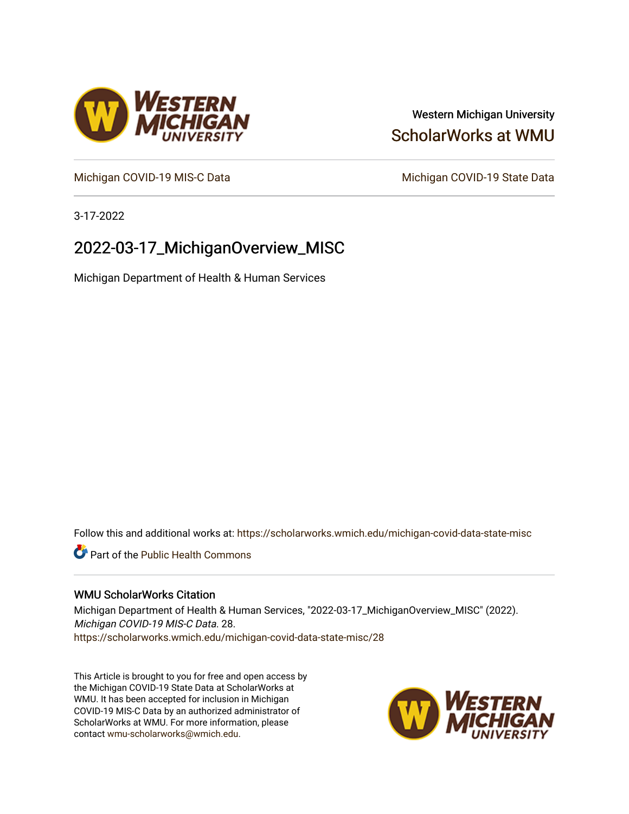# Western Michigan University [ScholarWorks at WMU](https://scholarworks.wmich.edu/)

[Michigan COVID-19 MIS-C Data](https://scholarworks.wmich.edu/michigan-covid-data-state-misc) Michigan COVID-19 State Data

3-17-2022

# 2022-03-17\_MichiganOverview\_MISC

Michigan Department of Health & Human Services

Follow this and additional works at: [https://scholarworks.wmich.edu/michigan-covid-data-state-misc](https://scholarworks.wmich.edu/michigan-covid-data-state-misc?utm_source=scholarworks.wmich.edu%2Fmichigan-covid-data-state-misc%2F28&utm_medium=PDF&utm_campaign=PDFCoverPages) 

**Part of the Public Health Commons** 

### WMU ScholarWorks Citation

Michigan Department of Health & Human Services, "2022-03-17\_MichiganOverview\_MISC" (2022). Michigan COVID-19 MIS-C Data. 28. [https://scholarworks.wmich.edu/michigan-covid-data-state-misc/28](https://scholarworks.wmich.edu/michigan-covid-data-state-misc/28?utm_source=scholarworks.wmich.edu%2Fmichigan-covid-data-state-misc%2F28&utm_medium=PDF&utm_campaign=PDFCoverPages)

This Article is brought to you for free and open access by the Michigan COVID-19 State Data at ScholarWorks at WMU. It has been accepted for inclusion in Michigan COVID-19 MIS-C Data by an authorized administrator of ScholarWorks at WMU. For more information, please contact [wmu-scholarworks@wmich.edu](mailto:wmu-scholarworks@wmich.edu).



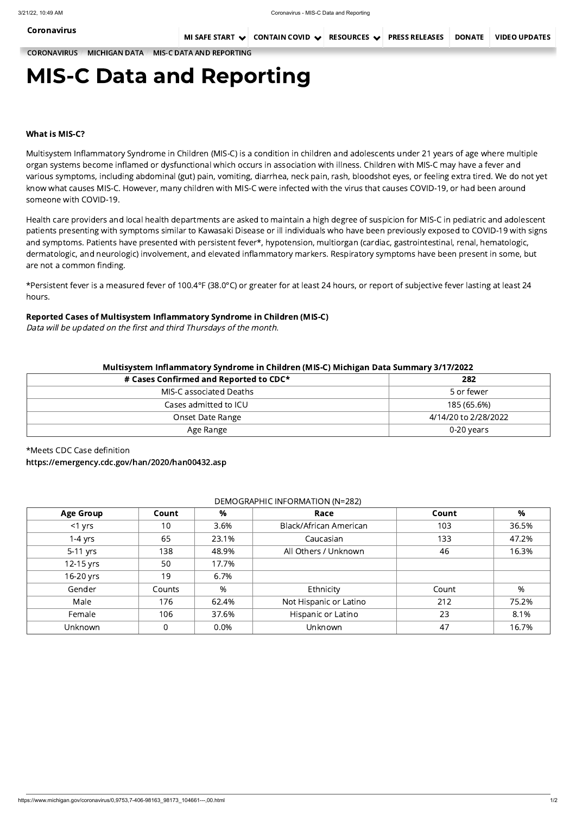[CORONAVIRUS](https://www.michigan.gov/coronavirus/) / [MICHIGAN](https://www.michigan.gov/coronavirus/0,9753,7-406-98163_98173---,00.html) DATA / MIS-C DATA AND [REPORTING](https://www.michigan.gov/coronavirus/0,9753,7-406-98163_98173_104661---,00.html)

# MIS-C Data and Reporting

## What is MIS-C?

Multisystem Inflammatory Syndrome in Children (MIS-C) is a condition in children and adolescents under 21 years of age where multiple organ systems become inflamed or dysfunctional which occurs in association with illness. Children with MIS-C may have a fever and various symptoms, including abdominal (gut) pain, vomiting, diarrhea, neck pain, rash, bloodshot eyes, or feeling extra tired. We do not yet know what causes MIS-C. However, many children with MIS-C were infected with the virus that causes COVID-19, or had been around someone with COVID-19.

Health care providers and local health departments are asked to maintain a high degree of suspicion for MIS-C in pediatric and adolescent patients presenting with symptoms similar to Kawasaki Disease or ill individuals who have been previously exposed to COVID-19 with signs and symptoms. Patients have presented with persistent fever\*, hypotension, multiorgan (cardiac, gastrointestinal, renal, hematologic, dermatologic, and neurologic) involvement, and elevated inflammatory markers. Respiratory symptoms have been present in some, but are not a common finding.

\*Persistent fever is a measured fever of 100.4°F (38.0°C) or greater for at least 24 hours, or report of subjective fever lasting at least 24 hours.

## Reported Cases of Multisystem Inflammatory Syndrome in Children (MIS-C)

Data will be updated on the first and third Thursdays of the month.

### Multisystem Inflammatory Syndrome in Children (MIS-C) Michigan Data Summary 3/17/2022

| <u>mandystem mnammatery synarenie in ennaren (mis e) mienigan sata sammary s/ 1772022</u> |                      |  |  |  |  |
|-------------------------------------------------------------------------------------------|----------------------|--|--|--|--|
| # Cases Confirmed and Reported to CDC*                                                    | 282                  |  |  |  |  |
| MIS-C associated Deaths                                                                   | 5 or fewer           |  |  |  |  |
| Cases admitted to ICU                                                                     | 185 (65.6%)          |  |  |  |  |
| Onset Date Range                                                                          | 4/14/20 to 2/28/2022 |  |  |  |  |
| Age Range                                                                                 | 0-20 years           |  |  |  |  |

\*Meets CDC Case definition

<https://emergency.cdc.gov/han/2020/han00432.asp>

### DEMOGRAPHIC INFORMATION (N=282)

| <u>DEMOUNTING HIJ ONIVIATION (IV ZUZ)</u> |                  |                             |                                                                                                                 |        |       |  |  |  |
|-------------------------------------------|------------------|-----------------------------|-----------------------------------------------------------------------------------------------------------------|--------|-------|--|--|--|
| <b>Age Group</b>                          | Count            | %                           | Race                                                                                                            | Count  | %     |  |  |  |
| <1 yrs                                    | 10 <sup>°</sup>  | 3.6%                        | <b>Black/African American</b>                                                                                   | 103    | 36.5% |  |  |  |
| $1-4$ yrs                                 | 65               | 23.1%                       | Caucasian                                                                                                       | 133    | 47.2% |  |  |  |
| $5-11$ yrs                                | 138              | 48.9%                       | All Others / Unknown                                                                                            | 46     | 16.3% |  |  |  |
| 12-15 yrs                                 | 50               | 17.7%                       |                                                                                                                 |        |       |  |  |  |
| 16-20 yrs                                 | 19               | 6.7%                        |                                                                                                                 |        |       |  |  |  |
| Gender                                    | Counts           | %                           | Ethnicity                                                                                                       | Count  | %     |  |  |  |
| Male                                      | 176              | 62.4%                       | Not Hispanic or Latino                                                                                          | 212    | 75.2% |  |  |  |
| $ -$                                      | $\lambda$ $\sim$ | $\sim$ $\sim$ $\sim$ $\sim$ | the property of the contract of the contract of the contract of the contract of the contract of the contract of | $\sim$ | 0.401 |  |  |  |

| Female  | 06 | 37.6% | Hispanic or I<br>Latino | --<br>-- | 10/0<br>ັ. ເ |
|---------|----|-------|-------------------------|----------|--------------|
| Unknown |    | 0.0%  | Unknown                 |          | ັບ.          |

[Coronavirus](https://www.michigan.gov/coronavirus/)

MI SAFE [START](https://www.michigan.gov/coronavirus/0,9753,7-406-100467---,00.html)  $\vee$  [CONTAIN](https://www.michigan.gov/coronavirus/0,9753,7-406-99891---,00.html) COVID  $\vee$  [RESOURCES](https://www.michigan.gov/coronavirus/0,9753,7-406-98178---,00.html)  $\vee$  PRESS [RELEASES](https://www.michigan.gov/coronavirus/0,9753,7-406-98158---,00.html) [DONATE](https://www.michigan.gov/coronavirus/0,9753,7-406-98178_98811---,00.html#block-3_115140) VIDEO [UPDATES](https://www.michigan.gov/coronavirus/0,9753,7-406-98414---,00.html)